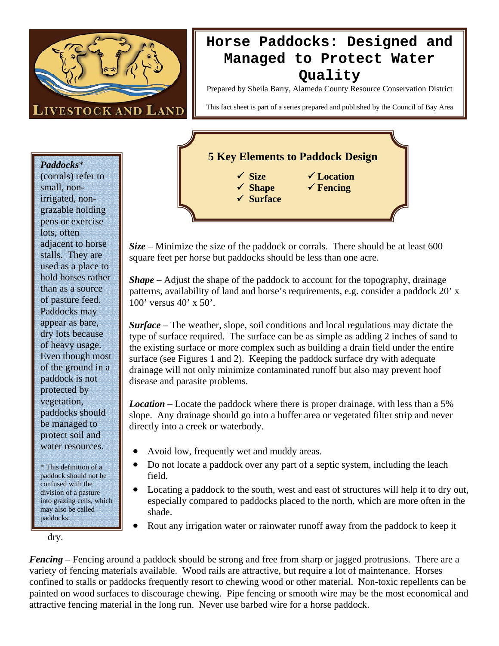

## **Horse Paddocks: Designed and Managed to Protect Water Quality**

Prepared by Sheila Barry, Alameda County Resource Conservation District

This fact sheet is part of a series prepared and published by the Council of Bay Area

*Paddocks*\* (corrals) refer to small, nonirrigated, nongrazable holding pens or exercise lots, often adjacent to horse stalls. They are used as a place to hold horses rather than as a source of pasture feed. Paddocks may appear as bare, dry lots because of heavy usage. Even though most of the ground in a paddock is not protected by vegetation, paddocks should be managed to protect soil and water resources.

\* This definition of a paddock should not be confused with the division of a pasture into grazing cells, which may also be called paddocks.

dry.

## **5 Key Elements to Paddock Design**  9 **Size** 9 **Location**

9 **Shape** 9 **Fencing**  9 **Surface**

*Size* – Minimize the size of the paddock or corrals. There should be at least 600 square feet per horse but paddocks should be less than one acre.

*Shape* – Adjust the shape of the paddock to account for the topography, drainage patterns, availability of land and horse's requirements, e.g. consider a paddock 20' x 100' versus 40' x 50'.

*Surface* – The weather, slope, soil conditions and local regulations may dictate the type of surface required. The surface can be as simple as adding 2 inches of sand to the existing surface or more complex such as building a drain field under the entire surface (see Figures 1 and 2). Keeping the paddock surface dry with adequate drainage will not only minimize contaminated runoff but also may prevent hoof disease and parasite problems.

*Location* – Locate the paddock where there is proper drainage, with less than a 5% slope. Any drainage should go into a buffer area or vegetated filter strip and never directly into a creek or waterbody.

- Avoid low, frequently wet and muddy areas.
- Do not locate a paddock over any part of a septic system, including the leach field.
- Locating a paddock to the south, west and east of structures will help it to dry out, especially compared to paddocks placed to the north, which are more often in the shade.
- Rout any irrigation water or rainwater runoff away from the paddock to keep it

*Fencing* – Fencing around a paddock should be strong and free from sharp or jagged protrusions. There are a variety of fencing materials available. Wood rails are attractive, but require a lot of maintenance. Horses confined to stalls or paddocks frequently resort to chewing wood or other material. Non-toxic repellents can be painted on wood surfaces to discourage chewing. Pipe fencing or smooth wire may be the most economical and attractive fencing material in the long run. Never use barbed wire for a horse paddock.